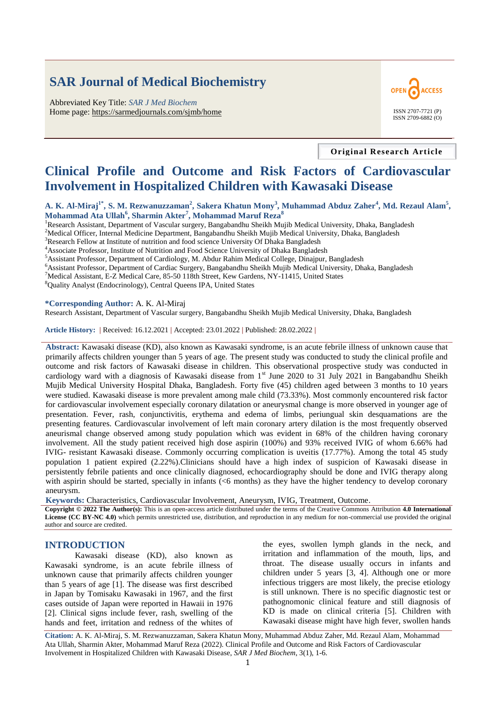# **SAR Journal of Medical Biochemistry**

Abbreviated Key Title: *SAR J Med Biochem* Home page: <https://sarmedjournals.com/sjmb/home> ISSN 2707-7721 (P)



**Original Research Article**

# **Clinical Profile and Outcome and Risk Factors of Cardiovascular Involvement in Hospitalized Children with Kawasaki Disease**

**A. K. Al-Miraj1\* , S. M. Rezwanuzzaman<sup>2</sup> , Sakera Khatun Mony<sup>3</sup> , Muhammad Abduz Zaher<sup>4</sup> , Md. Rezaul Alam<sup>5</sup> , Mohammad Ata Ullah<sup>6</sup> , Sharmin Akter<sup>7</sup> , Mohammad Maruf Reza<sup>8</sup>**

<sup>1</sup>Research Assistant, Department of Vascular surgery, Bangabandhu Sheikh Mujib Medical University, Dhaka, Bangladesh <sup>2</sup>Medical Officer, Internal Medicine Department, Bangabandhu Sheikh Mujib Medical University, Dhaka, Bangladesh

<sup>3</sup>Research Fellow at Institute of nutrition and food science University Of Dhaka Bangladesh

<sup>4</sup>Associate Professor, Institute of Nutrition and Food Science University of Dhaka Bangladesh

<sup>5</sup>Assistant Professor, Department of Cardiology, M. Abdur Rahim Medical College, Dinajpur, Bangladesh

<sup>6</sup>Assistant Professor, Department of Cardiac Surgery, Bangabandhu Sheikh Mujib Medical University, Dhaka, Bangladesh

<sup>7</sup>Medical Assistant, E-Z Medical Care, 85-50 118th Street, Kew Gardens, NY-11415, United States

<sup>8</sup>Quality Analyst (Endocrinology), Central Queens IPA, United States

#### **\*Corresponding Author:** A. K. Al-Miraj

Research Assistant, Department of Vascular surgery, Bangabandhu Sheikh Mujib Medical University, Dhaka, Bangladesh

**Article History: |** Received: 16.12.2021 **|** Accepted: 23.01.2022 **|** Published: 28.02.2022 **|**

**Abstract:** Kawasaki disease (KD), also known as Kawasaki syndrome, is an acute febrile illness of unknown cause that primarily affects children younger than 5 years of age. The present study was conducted to study the clinical profile and outcome and risk factors of Kawasaki disease in children. This observational prospective study was conducted in cardiology ward with a diagnosis of Kawasaki disease from 1<sup>st</sup> June 2020 to 31 July 2021 in Bangabandhu Sheikh Mujib Medical University Hospital Dhaka, Bangladesh. Forty five (45) children aged between 3 months to 10 years were studied. Kawasaki disease is more prevalent among male child (73.33%). Most commonly encountered risk factor for cardiovascular involvement especially coronary dilatation or aneurysmal change is more observed in younger age of presentation. Fever, rash, conjunctivitis, erythema and edema of limbs, periungual skin desquamations are the presenting features. Cardiovascular involvement of left main coronary artery dilation is the most frequently observed aneurismal change observed among study population which was evident in 68% of the children having coronary involvement. All the study patient received high dose aspirin (100%) and 93% received IVIG of whom 6.66% had IVIG- resistant Kawasaki disease. Commonly occurring complication is uveitis (17.77%). Among the total 45 study population 1 patient expired (2.22%).Clinicians should have a high index of suspicion of Kawasaki disease in persistently febrile patients and once clinically diagnosed, echocardiography should be done and IVIG therapy along with aspirin should be started, specially in infants (<6 months) as they have the higher tendency to develop coronary aneurysm.

**Keywords:** Characteristics, Cardiovascular Involvement, Aneurysm, IVIG, Treatment, Outcome.

**Copyright © 2022 The Author(s):** This is an open-access article distributed under the terms of the Creative Commons Attribution **4.0 International License (CC BY-NC 4.0)** which permits unrestricted use, distribution, and reproduction in any medium for non-commercial use provided the original author and source are credited.

### **INTRODUCTION**

Kawasaki disease (KD), also known as Kawasaki syndrome, is an acute febrile illness of unknown cause that primarily affects children younger than 5 years of age [1]. The disease was first described in Japan by Tomisaku Kawasaki in 1967, and the first cases outside of Japan were reported in Hawaii in 1976 [2]. Clinical signs include fever, rash, swelling of the hands and feet, irritation and redness of the whites of the eyes, swollen lymph glands in the neck, and irritation and inflammation of the mouth, lips, and throat. The disease usually occurs in infants and children under 5 years [3, 4]. Although one or more infectious triggers are most likely, the precise etiology is still unknown. There is no specific diagnostic test or pathognomonic clinical feature and still diagnosis of KD is made on clinical criteria [5]. Children with Kawasaki disease might have high fever, swollen hands

**Citation:** A. K. Al-Miraj, S. M. Rezwanuzzaman, Sakera Khatun Mony, Muhammad Abduz Zaher, Md. Rezaul Alam, Mohammad Ata Ullah, Sharmin Akter, Mohammad Maruf Reza (2022). Clinical Profile and Outcome and Risk Factors of Cardiovascular Involvement in Hospitalized Children with Kawasaki Disease, *SAR J Med Biochem*, 3(1), 1-6.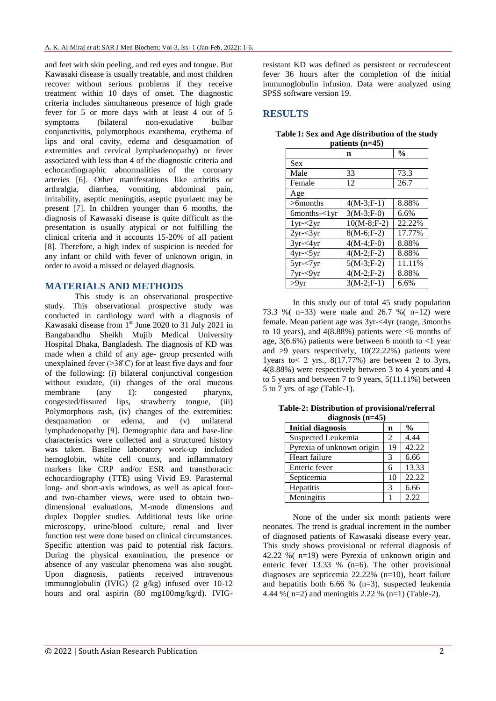and feet with skin peeling, and red eyes and tongue. But Kawasaki disease is usually treatable, and most children recover without serious problems if they receive treatment within 10 days of onset. The diagnostic criteria includes simultaneous presence of high grade fever for 5 or more days with at least 4 out of 5 symptoms (bilateral non-exudative bulbar conjunctivitis, polymorphous exanthema, erythema of lips and oral cavity, edema and desquamation of extremities and cervical lymphadenopathy) or fever associated with less than 4 of the diagnostic criteria and echocardiographic abnormalities of the coronary arteries [6]. Other manifestations like arthritis or arthralgia, diarrhea, vomiting, abdominal pain, irritability, aseptic meningitis, aseptic pyuriaetc may be present [7]. In children younger than 6 months, the diagnosis of Kawasaki disease is quite difficult as the presentation is usually atypical or not fulfilling the clinical criteria and it accounts 15-20% of all patient [8]. Therefore, a high index of suspicion is needed for any infant or child with fever of unknown origin, in order to avoid a missed or delayed diagnosis.

## **MATERIALS AND METHODS**

This study is an observational prospective study. This observational prospective study was conducted in cardiology ward with a diagnosis of Kawasaki disease from  $1^{st}$  June 2020 to 31 July 2021 in Bangabandhu Sheikh Mujib Medical University Hospital Dhaka, Bangladesh. The diagnosis of KD was made when a child of any age- group presented with unexplained fever  $(>38^{\circ}C)$  for at least five days and four of the following: (i) bilateral conjunctival congestion without exudate, (ii) changes of the oral mucous membrane (any 1): congested pharynx, congested/fissured lips, strawberry tongue, (iii) Polymorphous rash, (iv) changes of the extremities: desquamation or edema, and (v) unilateral lymphadenopathy [9]. Demographic data and base-line characteristics were collected and a structured history was taken. Baseline laboratory work-up included hemoglobin, white cell counts, and inflammatory markers like CRP and/or ESR and transthoracic echocardiography (TTE) using Vivid E9. Parasternal long- and short-axis windows, as well as apical fourand two-chamber views, were used to obtain twodimensional evaluations, M-mode dimensions and duplex Doppler studies. Additional tests like urine microscopy, urine/blood culture, renal and liver function test were done based on clinical circumstances. Specific attention was paid to potential risk factors. During the physical examination, the presence or absence of any vascular phenomena was also sought. Upon diagnosis, patients received intravenous immunoglobulin (IVIG) (2 g/kg) infused over 10-12 hours and oral aspirin (80 mg100mg/kg/d). IVIG-

resistant KD was defined as persistent or recrudescent fever 36 hours after the completion of the initial immunoglobulin infusion. Data were analyzed using SPSS software version 19.

# **RESULTS**

|                        | n             | $\frac{0}{0}$ |
|------------------------|---------------|---------------|
| Sex                    |               |               |
| Male                   | 33            | 73.3          |
| Female                 | 12            | 26.7          |
| Age                    |               |               |
| >6months               | $4(M-3;F-1)$  | 8.88%         |
| $6$ months- $\lt 1$ yr | $3(M-3;F-0)$  | 6.6%          |
| $1yr - 2yr$            | $10(M-8;F-2)$ | 22.22%        |
| $2yr - 3yr$            | $8(M-6;F-2)$  | 17.77%        |
| $3yr - 4yr$            | $4(M-4;F-0)$  | 8.88%         |
| $4yr - 5yr$            | $4(M-2;F-2)$  | 8.88%         |
| $5yr - 7yr$            | $5(M-3;F-2)$  | 11.11%        |
| $7yr - 9yr$            | $4(M-2;F-2)$  | 8.88%         |
| $>9$ yr                | $3(M-2;F-1)$  | 6.6%          |

**Table I: Sex and Age distribution of the study patients (n=45)**

In this study out of total 45 study population 73.3 %( n=33) were male and 26.7 %( n=12) were female. Mean patient age was 3yr-<4yr (range, 3months to 10 years), and  $4(8.88\%)$  patients were  $\leq 6$  months of age,  $3(6.6\%)$  patients were between 6 month to  $\langle 1 \rangle$  year and >9 years respectively, 10(22.22%) patients were 1years to  $< 2$  yrs.,  $8(17.77%)$  are between 2 to 3yrs, 4(8.88%) were respectively between 3 to 4 years and 4 to 5 years and between 7 to 9 years, 5(11.11%) between 5 to 7 yrs. of age (Table-1).

**Table-2: Distribution of provisional/referral diagnosis (n=45)**

| $\mathbf{u}$ $\mathbf{u}$ $\mathbf{u}$ $\mathbf{u}$ $\mathbf{u}$ $\mathbf{u}$ $\mathbf{v}$ |                |               |  |
|--------------------------------------------------------------------------------------------|----------------|---------------|--|
| <b>Initial diagnosis</b>                                                                   | n              | $\frac{0}{0}$ |  |
| Suspected Leukemia                                                                         | $\mathfrak{D}$ | 4.44          |  |
| Pyrexia of unknown origin                                                                  | 19             | 42.22         |  |
| Heart failure                                                                              | 3              | 6.66          |  |
| Enteric fever                                                                              | 6              | 13.33         |  |
| Septicemia                                                                                 | 10             | 22.22         |  |
| Hepatitis                                                                                  | 3              | 6.66          |  |
| Meningitis                                                                                 |                | 2.22          |  |

None of the under six month patients were neonates. The trend is gradual increment in the number of diagnosed patients of Kawasaki disease every year. This study shows provisional or referral diagnosis of 42.22 %( n=19) were Pyrexia of unknown origin and enteric fever 13.33 % (n=6). The other provisional diagnoses are septicemia 22.22% (n=10), heart failure and hepatitis both 6.66 % (n=3), suspected leukemia 4.44 % ( $n=2$ ) and meningitis 2.22 % ( $n=1$ ) (Table-2).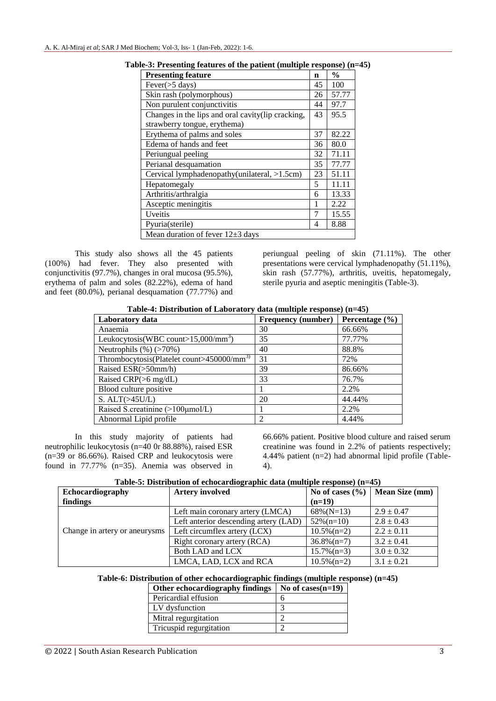| <b>Presenting feature</b>                         | n  | $\frac{0}{0}$ |
|---------------------------------------------------|----|---------------|
| Fever $($ >5 days)                                | 45 | 100           |
| Skin rash (polymorphous)                          | 26 | 57.77         |
| Non purulent conjunctivitis                       | 44 | 97.7          |
| Changes in the lips and oral cavity(lip cracking, | 43 | 95.5          |
| strawberry tongue, erythema)                      |    |               |
| Erythema of palms and soles                       | 37 | 82.22         |
| Edema of hands and feet                           | 36 | 80.0          |
| Periungual peeling                                | 32 | 71.11         |
| Perianal desquamation                             | 35 | 77.77         |
| Cervical lymphadenopathy(unilateral, >1.5cm)      | 23 | 51.11         |
| Hepatomegaly                                      | 5  | 11.11         |
| Arthritis/arthralgia                              | 6  | 13.33         |
| Asceptic meningitis                               | 1  | 2.22          |
| Uveitis                                           | 7  | 15.55         |
| Pyuria(sterile)                                   | 4  | 8.88          |
| Mean duration of fever $12\pm3$ days              |    |               |

**Table-3: Presenting features of the patient (multiple response) (n=45)**

This study also shows all the 45 patients (100%) had fever. They also presented with conjunctivitis (97.7%), changes in oral mucosa (95.5%), erythema of palm and soles (82.22%), edema of hand and feet (80.0%), perianal desquamation (77.77%) and

periungual peeling of skin (71.11%). The other presentations were cervical lymphadenopathy (51.11%), skin rash (57.77%), arthritis, uveitis, hepatomegaly, sterile pyuria and aseptic meningitis (Table-3).

| Table-4: Distribution of Laboratory data (multiple response) (n=45) |  |  |
|---------------------------------------------------------------------|--|--|
|---------------------------------------------------------------------|--|--|

| Laboratory data                                       | Frequency (number) | Percentage $(\% )$ |
|-------------------------------------------------------|--------------------|--------------------|
| Anaemia                                               | 30                 | 66.66%             |
| Leukocytosis(WBC count> $15,000/\text{mm}^3$ )        | 35                 | 77.77%             |
| Neutrophils $(\%)$ ( $>70\%)$ )                       | 40                 | 88.8%              |
| Thrombocytosis(Platelet count>450000/mm <sup>3)</sup> | 31                 | 72%                |
| Raised $ESR(>50mm/h)$                                 | 39                 | 86.66%             |
| Raised CRP(>6 mg/dL)                                  | 33                 | 76.7%              |
| Blood culture positive                                |                    | 2.2%               |
| S. ALT $(>45$ U/L)                                    | 20                 | 44.44%             |
| Raised S.creatinine (>100µmol/L)                      |                    | 2.2%               |
| Abnormal Lipid profile                                | $\mathfrak{D}$     | 4.44%              |

In this study majority of patients had neutrophilic leukocytosis (n=40 0r 88.88%), raised ESR (n=39 or 86.66%). Raised CRP and leukocytosis were found in 77.77% (n=35). Anemia was observed in

66.66% patient. Positive blood culture and raised serum creatinine was found in 2.2% of patients respectively; 4.44% patient (n=2) had abnormal lipid profile (Table-4).

| Table-5: Distribution of echocardiographic data (multiple response) (n=45) |
|----------------------------------------------------------------------------|
|----------------------------------------------------------------------------|

| Echocardiography              | <b>Artery involved</b>                | No of cases $(\% )$   Mean Size (mm) |                |
|-------------------------------|---------------------------------------|--------------------------------------|----------------|
| findings                      |                                       | $(n=19)$                             |                |
|                               | Left main coronary artery (LMCA)      | $68\%$ (N=13)                        | $2.9 \pm 0.47$ |
| Change in artery or aneurysms | Left anterior descending artery (LAD) | $52\%$ (n=10)                        | $2.8 \pm 0.43$ |
|                               | Left circumflex artery (LCX)          | $10.5\%$ (n=2)                       | $2.2 \pm 0.11$ |
|                               | Right coronary artery (RCA)           | $36.8\%$ (n=7)                       | $3.2 \pm 0.41$ |
|                               | Both LAD and LCX                      | $15.7\%$ (n=3)                       | $3.0 \pm 0.32$ |
|                               | LMCA, LAD, LCX and RCA                | $10.5\%$ (n=2)                       | $3.1 \pm 0.21$ |

| Other echocardiography findings | No of cases $(n=19)$ |
|---------------------------------|----------------------|
| Pericardial effusion            |                      |
| LV dysfunction                  |                      |
| Mitral regurgitation            |                      |
| Tricuspid regurgitation         |                      |
|                                 |                      |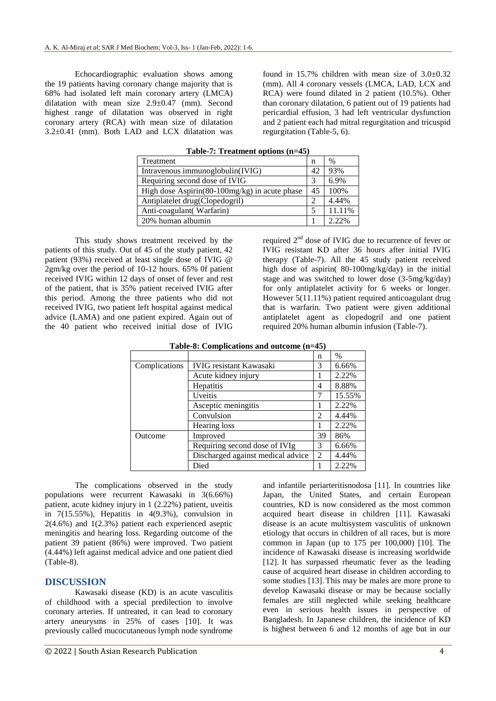Echocardiographic evaluation shows among the 19 patients having coronary change majority that is 68% had isolated left main coronary artery (LMCA) dilatation with mean size 2.9±0.47 (mm). Second highest range of dilatation was observed in right coronary artery (RCA) with mean size of dilatation  $3.2\pm0.41$  (mm). Both LAD and LCX dilatation was

found in 15.7% children with mean size of  $3.0\pm0.32$ (mm). All 4 coronary vessels (LMCA, LAD, LCX and RCA) were found dilated in 2 patient (10.5%). Other than coronary dilatation, 6 patient out of 19 patients had pericardial effusion, 3 had left ventricular dysfunction and 2 patient each had mitral regurgitation and tricuspid regurgitation (Table-5, 6).

| rapic-7, recatancing options $(n-\tau)$       |                          |        |  |
|-----------------------------------------------|--------------------------|--------|--|
| Treatment                                     | n                        | $\%$   |  |
| Intravenous immunoglobulin(IVIG)              | 42                       | 93%    |  |
| Requiring second dose of IVIG                 | 3                        | 6.9%   |  |
| High dose Aspirin(80-100mg/kg) in acute phase |                          | 100%   |  |
| Antiplatelet drug(Clopedogril)                |                          | 4.44%  |  |
| Anti-coagulant (Warfarin)                     | $\overline{\phantom{1}}$ | 11.11% |  |
| 20% human albumin                             |                          | 2.22%  |  |

**Table-7: Treatment options (n=45)**

This study shows treatment received by the patients of this study. Out of 45 of the study patient, 42 patient (93%) received at least single dose of IVIG @ 2gm/kg over the period of 10-12 hours. 65% 0f patient received IVIG within 12 days of onset of fever and rest of the patient, that is 35% patient received IVIG after this period. Among the three patients who did not received IVIG, two patient left hospital against medical advice (LAMA) and one patient expired. Again out of the 40 patient who received initial dose of IVIG required 2nd dose of IVIG due to recurrence of fever or IVIG resistant KD after 36 hours after initial IVIG therapy (Table-7). All the 45 study patient received high dose of aspirin( 80-100mg/kg/day) in the initial stage and was switched to lower dose (3-5mg/kg/day) for only antiplatelet activity for 6 weeks or longer. However 5(11.11%) patient required anticoagulant drug that is warfarin. Two patient were given additional antiplatelet agent as clopedogril and one patient required 20% human albumin infusion (Table-7).

|               |                                   | n              | $\%$   |
|---------------|-----------------------------------|----------------|--------|
| Complications | <b>IVIG</b> resistant Kawasaki    | 3              | 6.66%  |
|               | Acute kidney injury               |                | 2.22%  |
|               | Hepatitis                         | 4              | 8.88%  |
|               | Uveitis                           |                | 15.55% |
|               | Asceptic meningitis               |                | 2.22%  |
|               | Convulsion                        | $\mathfrak{D}$ | 4.44%  |
|               | Hearing loss                      |                | 2.22%  |
| Outcome       | Improved                          | 39             | 86%    |
|               | Requiring second dose of IVIg     | 3              | 6.66%  |
|               | Discharged against medical advice | $\overline{2}$ | 4.44%  |
|               | Died                              |                | 2.22%  |

The complications observed in the study populations were recurrent Kawasaki in 3(6.66%) patient, acute kidney injury in 1 (2.22%) patient, uveitis in  $7(15.55\%)$ , Hepatitis in  $4(9.3\%)$ , convulsion in  $2(4.6\%)$  and  $1(2.3\%)$  patient each experienced aseptic meningitis and hearing loss. Regarding outcome of the patient 39 patient (86%) were improved. Two patient (4.44%) left against medical advice and one patient died (Table-8).

## **DISCUSSION**

Kawasaki disease (KD) is an acute vasculitis of childhood with a special predilection to involve coronary arteries. If untreated, it can lead to coronary artery aneurysms in 25% of cases [10]. It was previously called mucocutaneous lymph node syndrome

Japan, the United States, and certain European countries, KD is now considered as the most common acquired heart disease in children [11]. Kawasaki disease is an acute multisystem vasculitis of unknown etiology that occurs in children of all races, but is more common in Japan (up to 175 per 100,000) [10]. The incidence of Kawasaki disease is increasing worldwide [12]. It has surpassed rheumatic fever as the leading cause of acquired heart disease in children according to some studies [13]. This may be males are more prone to develop Kawasaki disease or may be because socially females are still neglected while seeking healthcare even in serious health issues in perspective of Bangladesh. In Japanese children, the incidence of KD is highest between 6 and 12 months of age but in our

and infantile periarteritisnodosa [11]. In countries like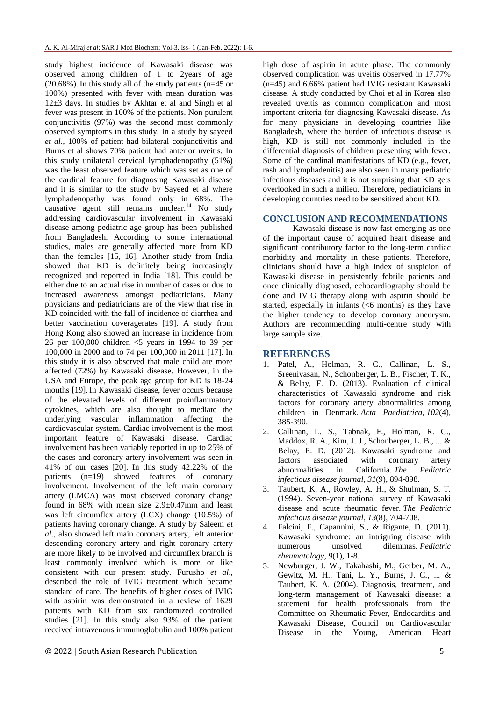study highest incidence of Kawasaki disease was observed among children of 1 to 2years of age  $(20.68\%)$ . In this study all of the study patients (n=45 or 100%) presented with fever with mean duration was 12±3 days. In studies by Akhtar et al and Singh et al fever was present in 100% of the patients. Non purulent conjunctivitis (97%) was the second most commonly observed symptoms in this study. In a study by sayeed *et al*., 100% of patient had bilateral conjunctivitis and Burns et al shows 70% patient had anterior uveitis. In this study unilateral cervical lymphadenopathy (51%) was the least observed feature which was set as one of the cardinal feature for diagnosing Kawasaki disease and it is similar to the study by Sayeed et al where lymphadenopathy was found only in 68%. The causative agent still remains unclear.<sup>14</sup> No study addressing cardiovascular involvement in Kawasaki disease among pediatric age group has been published from Bangladesh. According to some international studies, males are generally affected more from KD than the females [15, 16]. Another study from India showed that KD is definitely being increasingly recognized and reported in India [18]. This could be either due to an actual rise in number of cases or due to increased awareness amongst pediatricians. Many physicians and pediatricians are of the view that rise in KD coincided with the fall of incidence of diarrhea and better vaccination coveragerates [19]. A study from Hong Kong also showed an increase in incidence from 26 per 100,000 children <5 years in 1994 to 39 per 100,000 in 2000 and to 74 per 100,000 in 2011 [17]. In this study it is also observed that male child are more affected (72%) by Kawasaki disease. However, in the USA and Europe, the peak age group for KD is 18-24 months [19]. In Kawasaki disease, fever occurs because of the elevated levels of different proinflammatory cytokines, which are also thought to mediate the underlying vascular inflammation affecting the cardiovascular system. Cardiac involvement is the most important feature of Kawasaki disease. Cardiac involvement has been variably reported in up to 25% of the cases and coronary artery involvement was seen in 41% of our cases [20]. In this study 42.22% of the patients (n=19) showed features of coronary involvement. Involvement of the left main coronary artery (LMCA) was most observed coronary change found in 68% with mean size 2.9±0.47mm and least was left circumflex artery (LCX) change (10.5%) of patients having coronary change. A study by Saleem *et al*., also showed left main coronary artery, left anterior descending coronary artery and right coronary artery are more likely to be involved and circumflex branch is least commonly involved which is more or like consistent with our present study. Furusho *et al*., described the role of IVIG treatment which became standard of care. The benefits of higher doses of IVIG with aspirin was demonstrated in a review of 1629 patients with KD from six randomized controlled studies [21]. In this study also 93% of the patient received intravenous immunoglobulin and 100% patient

high dose of aspirin in acute phase. The commonly observed complication was uveitis observed in 17.77% (n=45) and 6.66% patient had IVIG resistant Kawasaki disease. A study conducted by Choi et al in Korea also revealed uveitis as common complication and most important criteria for diagnosing Kawasaki disease. As for many physicians in developing countries like Bangladesh, where the burden of infectious disease is high, KD is still not commonly included in the differential diagnosis of children presenting with fever. Some of the cardinal manifestations of KD (e.g., fever, rash and lymphadenitis) are also seen in many pediatric infectious diseases and it is not surprising that KD gets overlooked in such a milieu. Therefore, pediatricians in developing countries need to be sensitized about KD.

#### **CONCLUSION AND RECOMMENDATIONS**

Kawasaki disease is now fast emerging as one of the important cause of acquired heart disease and significant contributory factor to the long-term cardiac morbidity and mortality in these patients. Therefore, clinicians should have a high index of suspicion of Kawasaki disease in persistently febrile patients and once clinically diagnosed, echocardiography should be done and IVIG therapy along with aspirin should be started, especially in infants (<6 months) as they have the higher tendency to develop coronary aneurysm. Authors are recommending multi-centre study with large sample size.

#### **REFERENCES**

- 1. Patel, A., Holman, R. C., Callinan, L. S., Sreenivasan, N., Schonberger, L. B., Fischer, T. K., & Belay, E. D. (2013). Evaluation of clinical characteristics of Kawasaki syndrome and risk factors for coronary artery abnormalities among children in Denmark. *Acta Paediatrica*, *102*(4), 385-390.
- 2. Callinan, L. S., Tabnak, F., Holman, R. C., Maddox, R. A., Kim, J. J., Schonberger, L. B., ... & Belay, E. D. (2012). Kawasaki syndrome and factors associated with coronary artery abnormalities in California. *The Pediatric infectious disease journal*, *31*(9), 894-898.
- 3. Taubert, K. A., Rowley, A. H., & Shulman, S. T. (1994). Seven-year national survey of Kawasaki disease and acute rheumatic fever. *The Pediatric infectious disease journal*, *13*(8), 704-708.
- 4. Falcini, F., Capannini, S., & Rigante, D. (2011). Kawasaki syndrome: an intriguing disease with numerous unsolved dilemmas. *Pediatric rheumatology*, *9*(1), 1-8.
- 5. Newburger, J. W., Takahashi, M., Gerber, M. A., Gewitz, M. H., Tani, L. Y., Burns, J. C., ... & Taubert, K. A. (2004). Diagnosis, treatment, and long-term management of Kawasaki disease: a statement for health professionals from the Committee on Rheumatic Fever, Endocarditis and Kawasaki Disease, Council on Cardiovascular Disease in the Young, American Heart